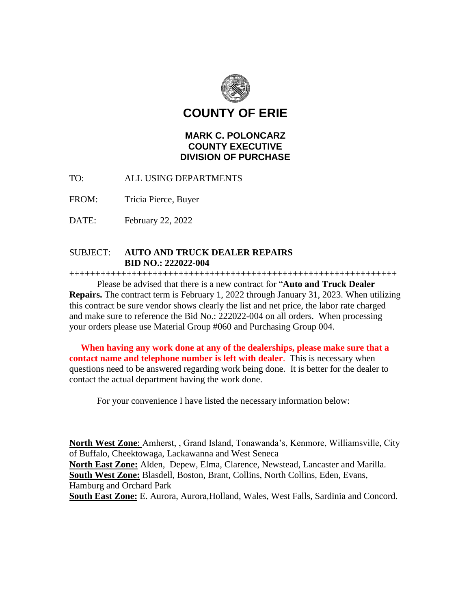

**COUNTY OF ERIE**

# **MARK C. POLONCARZ COUNTY EXECUTIVE DIVISION OF PURCHASE**

TO: ALL USING DEPARTMENTS

FROM: Tricia Pierce, Buyer

DATE: February 22, 2022

## SUBJECT: **AUTO AND TRUCK DEALER REPAIRS BID NO.: 222022-004**

+++++++++++++++++++++++++++++++++++++++++++++++++++++++++++++++

Please be advised that there is a new contract for "**Auto and Truck Dealer Repairs.** The contract term is February 1, 2022 through January 31, 2023. When utilizing this contract be sure vendor shows clearly the list and net price, the labor rate charged and make sure to reference the Bid No.: 222022-004 on all orders. When processing your orders please use Material Group #060 and Purchasing Group 004.

 **When having any work done at any of the dealerships, please make sure that a contact name and telephone number is left with dealer**. This is necessary when questions need to be answered regarding work being done. It is better for the dealer to contact the actual department having the work done.

For your convenience I have listed the necessary information below:

**North West Zone**: Amherst, , Grand Island, Tonawanda's, Kenmore, Williamsville, City of Buffalo, Cheektowaga, Lackawanna and West Seneca **North East Zone:** Alden, Depew, Elma, Clarence, Newstead, Lancaster and Marilla. **South West Zone:** Blasdell, Boston, Brant, Collins, North Collins, Eden, Evans, Hamburg and Orchard Park **South East Zone:** E. Aurora, Aurora,Holland, Wales, West Falls, Sardinia and Concord.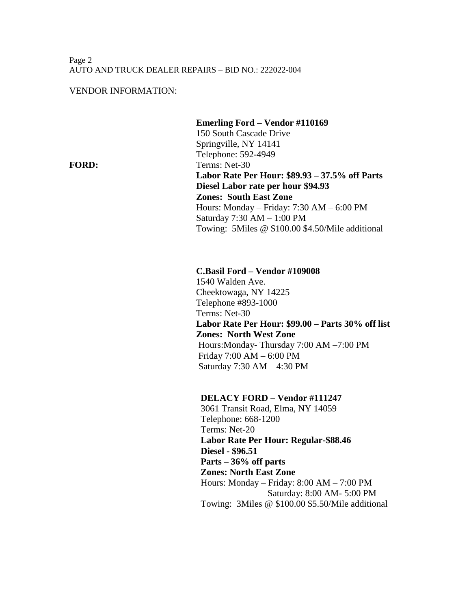#### Page 2 AUTO AND TRUCK DEALER REPAIRS – BID NO.: 222022-004

#### VENDOR INFORMATION:

 **Emerling Ford – Vendor #110169** 150 South Cascade Drive Springville, NY 14141 Telephone: 592-4949 FORD: Terms: Net-30 **Labor Rate Per Hour: \$89.93 – 37.5% off Parts Diesel Labor rate per hour \$94.93 Zones: South East Zone**  Hours: Monday – Friday: 7:30 AM – 6:00 PM Saturday 7:30 AM – 1:00 PM Towing: 5Miles @ \$100.00 \$4.50/Mile additional

#### **C.Basil Ford – Vendor #109008**

1540 Walden Ave. Cheektowaga, NY 14225 Telephone #893-1000 Terms: Net-30 **Labor Rate Per Hour: \$99.00 – Parts 30% off list Zones: North West Zone** Hours:Monday- Thursday 7:00 AM –7:00 PM Friday 7:00 AM – 6:00 PM Saturday 7:30 AM – 4:30 PM

### **DELACY FORD – Vendor #111247**

 3061 Transit Road, Elma, NY 14059 Telephone: 668-1200 Terms: Net-20 **Labor Rate Per Hour: Regular-\$88.46 Diesel - \$96.51 Parts – 36% off parts Zones: North East Zone** Hours: Monday – Friday: 8:00 AM – 7:00 PM Saturday: 8:00 AM- 5:00 PM Towing: 3Miles @ \$100.00 \$5.50/Mile additional